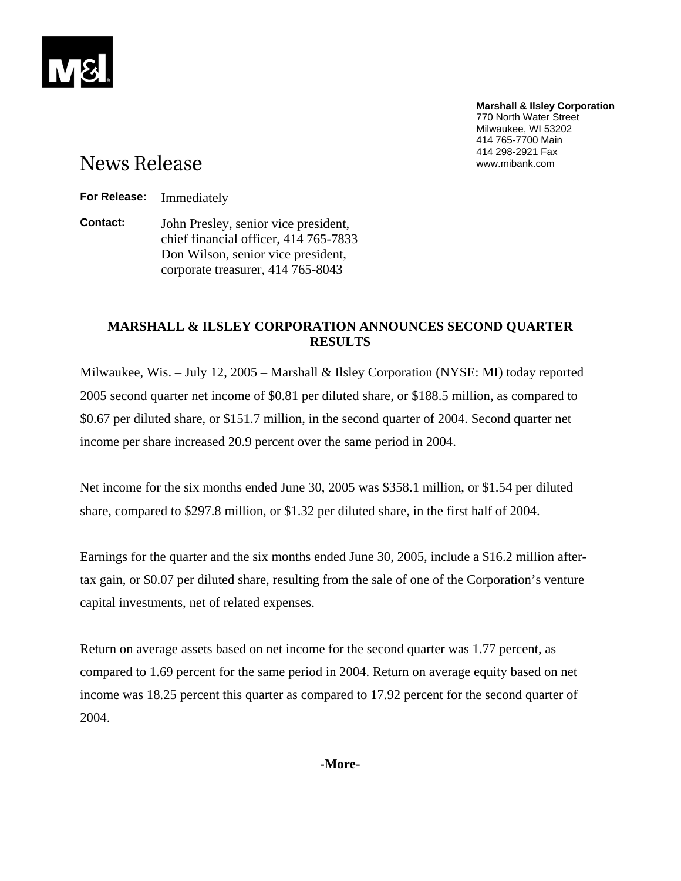**Marshall & Ilsley Corporation**  770 North Water Street Milwaukee, WI 53202 414 765-7700 Main 414 298-2921 Fax www.mibank.com

# **News Release**

**For Release:** Immediately

**Contact:** John Presley, senior vice president, chief financial officer, 414 765-7833 Don Wilson, senior vice president, corporate treasurer, 414 765-8043

## **MARSHALL & ILSLEY CORPORATION ANNOUNCES SECOND QUARTER RESULTS**

Milwaukee, Wis. – July 12, 2005 – Marshall & Ilsley Corporation (NYSE: MI) today reported 2005 second quarter net income of \$0.81 per diluted share, or \$188.5 million, as compared to \$0.67 per diluted share, or \$151.7 million, in the second quarter of 2004. Second quarter net income per share increased 20.9 percent over the same period in 2004.

Net income for the six months ended June 30, 2005 was \$358.1 million, or \$1.54 per diluted share, compared to \$297.8 million, or \$1.32 per diluted share, in the first half of 2004.

Earnings for the quarter and the six months ended June 30, 2005, include a \$16.2 million aftertax gain, or \$0.07 per diluted share, resulting from the sale of one of the Corporation's venture capital investments, net of related expenses.

Return on average assets based on net income for the second quarter was 1.77 percent, as compared to 1.69 percent for the same period in 2004. Return on average equity based on net income was 18.25 percent this quarter as compared to 17.92 percent for the second quarter of 2004.

**-More-**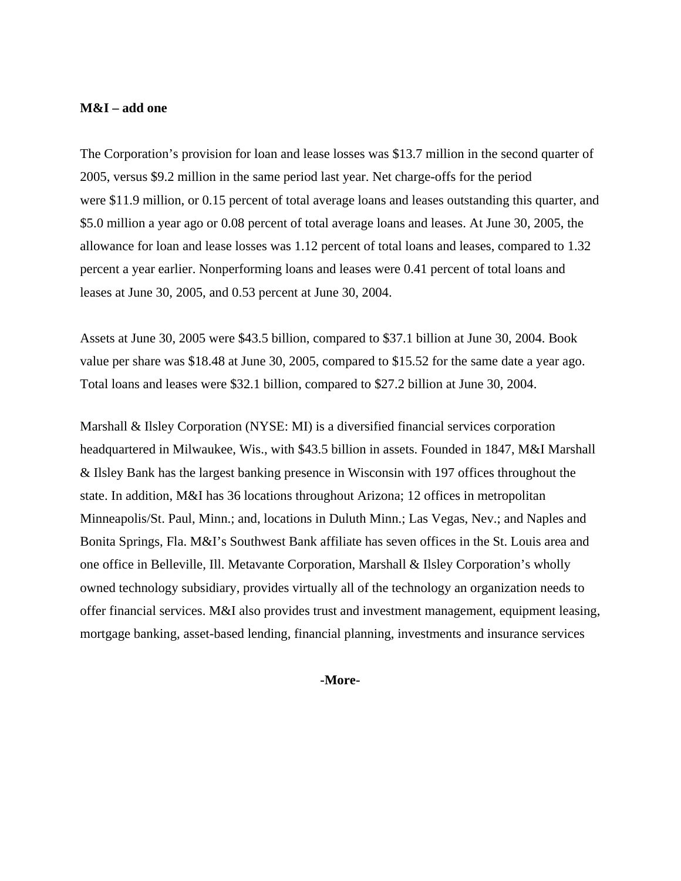#### **M&I – add one**

The Corporation's provision for loan and lease losses was \$13.7 million in the second quarter of 2005, versus \$9.2 million in the same period last year. Net charge-offs for the period were \$11.9 million, or 0.15 percent of total average loans and leases outstanding this quarter, and \$5.0 million a year ago or 0.08 percent of total average loans and leases. At June 30, 2005, the allowance for loan and lease losses was 1.12 percent of total loans and leases, compared to 1.32 percent a year earlier. Nonperforming loans and leases were 0.41 percent of total loans and leases at June 30, 2005, and 0.53 percent at June 30, 2004.

Assets at June 30, 2005 were \$43.5 billion, compared to \$37.1 billion at June 30, 2004. Book value per share was \$18.48 at June 30, 2005, compared to \$15.52 for the same date a year ago. Total loans and leases were \$32.1 billion, compared to \$27.2 billion at June 30, 2004.

Marshall & Ilsley Corporation (NYSE: MI) is a diversified financial services corporation headquartered in Milwaukee, Wis., with \$43.5 billion in assets. Founded in 1847, M&I Marshall & Ilsley Bank has the largest banking presence in Wisconsin with 197 offices throughout the state. In addition, M&I has 36 locations throughout Arizona; 12 offices in metropolitan Minneapolis/St. Paul, Minn.; and, locations in Duluth Minn.; Las Vegas, Nev.; and Naples and Bonita Springs, Fla. M&I's Southwest Bank affiliate has seven offices in the St. Louis area and one office in Belleville, Ill. Metavante Corporation, Marshall & Ilsley Corporation's wholly owned technology subsidiary, provides virtually all of the technology an organization needs to offer financial services. M&I also provides trust and investment management, equipment leasing, mortgage banking, asset-based lending, financial planning, investments and insurance services

**-More-**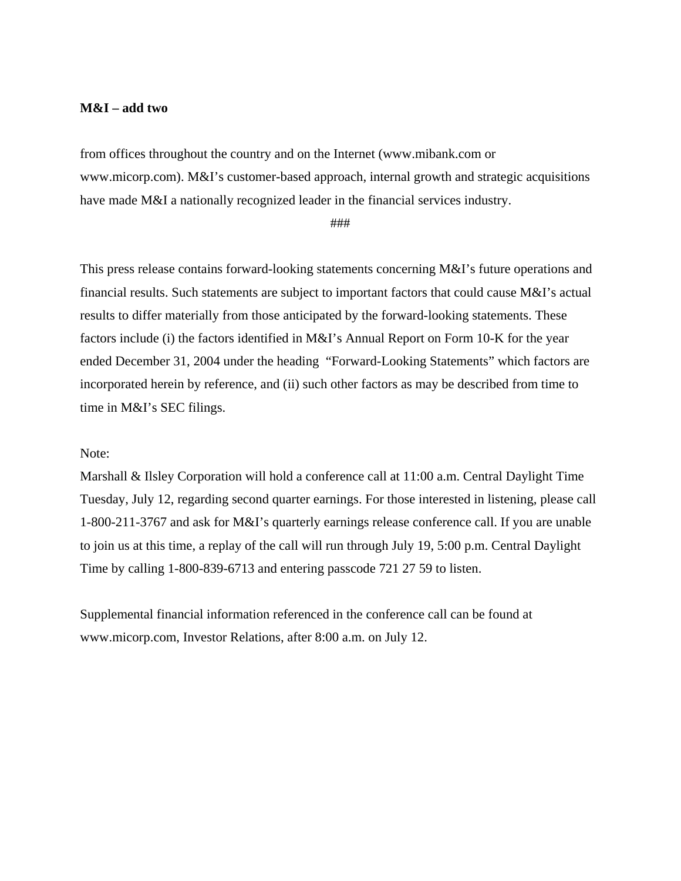#### **M&I – add two**

from offices throughout the country and on the Internet (www.mibank.com or www.micorp.com). M&I's customer-based approach, internal growth and strategic acquisitions have made M&I a nationally recognized leader in the financial services industry.

###

This press release contains forward-looking statements concerning M&I's future operations and financial results. Such statements are subject to important factors that could cause M&I's actual results to differ materially from those anticipated by the forward-looking statements. These factors include (i) the factors identified in M&I's Annual Report on Form 10-K for the year ended December 31, 2004 under the heading "Forward-Looking Statements" which factors are incorporated herein by reference, and (ii) such other factors as may be described from time to time in M&I's SEC filings.

### Note:

Marshall & Ilsley Corporation will hold a conference call at 11:00 a.m. Central Daylight Time Tuesday, July 12, regarding second quarter earnings. For those interested in listening, please call 1-800-211-3767 and ask for M&I's quarterly earnings release conference call. If you are unable to join us at this time, a replay of the call will run through July 19, 5:00 p.m. Central Daylight Time by calling 1-800-839-6713 and entering passcode 721 27 59 to listen.

Supplemental financial information referenced in the conference call can be found at www.micorp.com, Investor Relations, after 8:00 a.m. on July 12.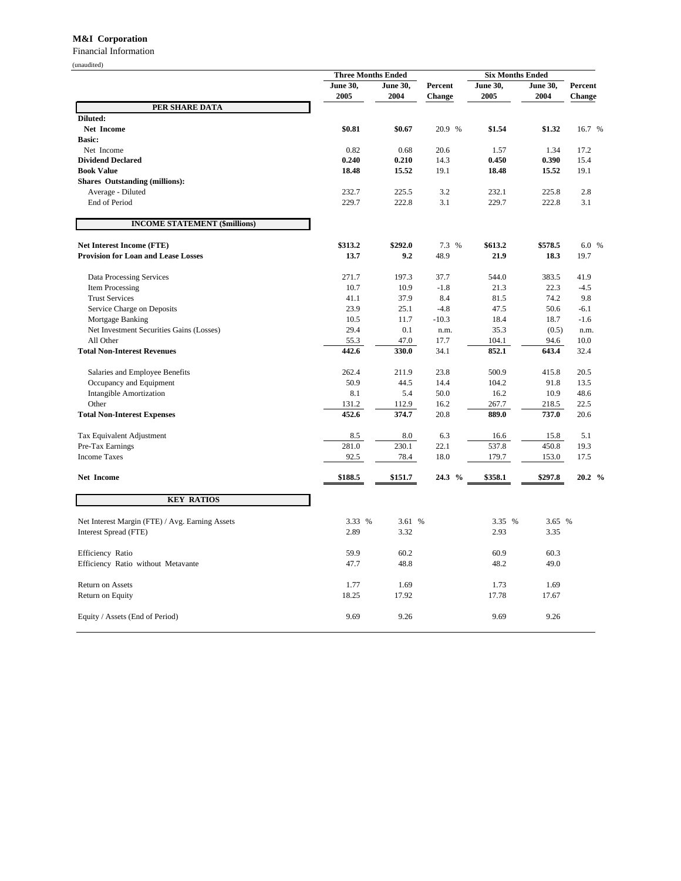#### **M&I Corporation**

Financial Information

| (unaudited)                                     |                           |                         |                   |                         |                         |                   |  |
|-------------------------------------------------|---------------------------|-------------------------|-------------------|-------------------------|-------------------------|-------------------|--|
|                                                 | <b>Three Months Ended</b> |                         |                   | <b>Six Months Ended</b> |                         |                   |  |
|                                                 | <b>June 30,</b><br>2005   | <b>June 30,</b><br>2004 | Percent<br>Change | <b>June 30,</b><br>2005 | <b>June 30,</b><br>2004 | Percent<br>Change |  |
| PER SHARE DATA                                  |                           |                         |                   |                         |                         |                   |  |
| Diluted:                                        |                           |                         |                   |                         |                         |                   |  |
| <b>Net Income</b>                               | \$0.81                    | \$0.67                  | 20.9 %            | \$1.54                  | \$1.32                  | 16.7 %            |  |
| <b>Basic:</b><br>Net Income                     | 0.82                      | 0.68                    | 20.6              | 1.57                    | 1.34                    | 17.2              |  |
| <b>Dividend Declared</b>                        | 0.240                     | 0.210                   | 14.3              | 0.450                   | 0.390                   | 15.4              |  |
| <b>Book Value</b>                               | 18.48                     | 15.52                   | 19.1              | 18.48                   |                         | 19.1              |  |
| <b>Shares Outstanding (millions):</b>           |                           |                         |                   |                         | 15.52                   |                   |  |
| Average - Diluted                               | 232.7                     | 225.5                   | 3.2               | 232.1                   | 225.8                   | 2.8               |  |
| End of Period                                   | 229.7                     | 222.8                   | 3.1               | 229.7                   | 222.8                   | 3.1               |  |
| <b>INCOME STATEMENT (\$millions)</b>            |                           |                         |                   |                         |                         |                   |  |
| <b>Net Interest Income (FTE)</b>                | \$313.2                   | \$292.0                 | 7.3 %             | \$613.2                 | \$578.5                 | 6.0 %             |  |
| <b>Provision for Loan and Lease Losses</b>      | 13.7                      | 9.2                     | 48.9              | 21.9                    | 18.3                    | 19.7              |  |
| Data Processing Services                        | 271.7                     | 197.3                   | 37.7              | 544.0                   | 383.5                   | 41.9              |  |
| Item Processing                                 | 10.7                      | 10.9                    | $-1.8$            | 21.3                    | 22.3                    | $-4.5$            |  |
| <b>Trust Services</b>                           | 41.1                      | 37.9                    | 8.4               | 81.5                    | 74.2                    | 9.8               |  |
| Service Charge on Deposits                      | 23.9                      | 25.1                    | $-4.8$            | 47.5                    | 50.6                    | $-6.1$            |  |
| Mortgage Banking                                | 10.5                      | 11.7                    | $-10.3$           | 18.4                    | 18.7                    | $-1.6$            |  |
| Net Investment Securities Gains (Losses)        | 29.4                      | 0.1                     | n.m.              | 35.3                    | (0.5)                   | n.m.              |  |
| All Other                                       | 55.3                      | 47.0                    | 17.7              | 104.1                   | 94.6                    | 10.0              |  |
| <b>Total Non-Interest Revenues</b>              | 442.6                     | 330.0                   | 34.1              | 852.1                   | 643.4                   | 32.4              |  |
| Salaries and Employee Benefits                  | 262.4                     | 211.9                   | 23.8              | 500.9                   | 415.8                   | 20.5              |  |
| Occupancy and Equipment                         | 50.9                      | 44.5                    | 14.4              | 104.2                   | 91.8                    | 13.5              |  |
| <b>Intangible Amortization</b>                  | 8.1                       | 5.4                     | 50.0              | 16.2                    | 10.9                    | 48.6              |  |
| Other                                           | 131.2                     | 112.9                   | 16.2              | 267.7                   | 218.5                   | 22.5              |  |
| <b>Total Non-Interest Expenses</b>              | 452.6                     | 374.7                   | 20.8              | 889.0                   | 737.0                   | 20.6              |  |
| Tax Equivalent Adjustment                       | 8.5                       | 8.0                     | 6.3               | 16.6                    | 15.8                    | 5.1               |  |
| Pre-Tax Earnings                                | 281.0                     | 230.1                   | 22.1              | 537.8                   | 450.8                   | 19.3              |  |
| <b>Income Taxes</b>                             | 92.5                      | 78.4                    | 18.0              | 179.7                   | 153.0                   | 17.5              |  |
| Net Income                                      | \$188.5                   | \$151.7                 | 24.3 %            | \$358.1                 | \$297.8                 | 20.2 %            |  |
| <b>KEY RATIOS</b>                               |                           |                         |                   |                         |                         |                   |  |
| Net Interest Margin (FTE) / Avg. Earning Assets | 3.33 %                    | 3.61 %                  |                   | 3.35 %                  | 3.65 %                  |                   |  |
| Interest Spread (FTE)                           | 2.89                      | 3.32                    |                   | 2.93                    | 3.35                    |                   |  |
| Efficiency Ratio                                | 59.9                      | 60.2                    |                   | 60.9                    | 60.3                    |                   |  |
| Efficiency Ratio without Metavante              | 47.7                      | 48.8                    |                   | 48.2                    | 49.0                    |                   |  |
| Return on Assets                                | 1.77                      | 1.69                    |                   | 1.73                    | 1.69                    |                   |  |
| Return on Equity                                | 18.25                     | 17.92                   |                   | 17.78                   | 17.67                   |                   |  |
| Equity / Assets (End of Period)                 | 9.69                      | 9.26                    |                   | 9.69                    | 9.26                    |                   |  |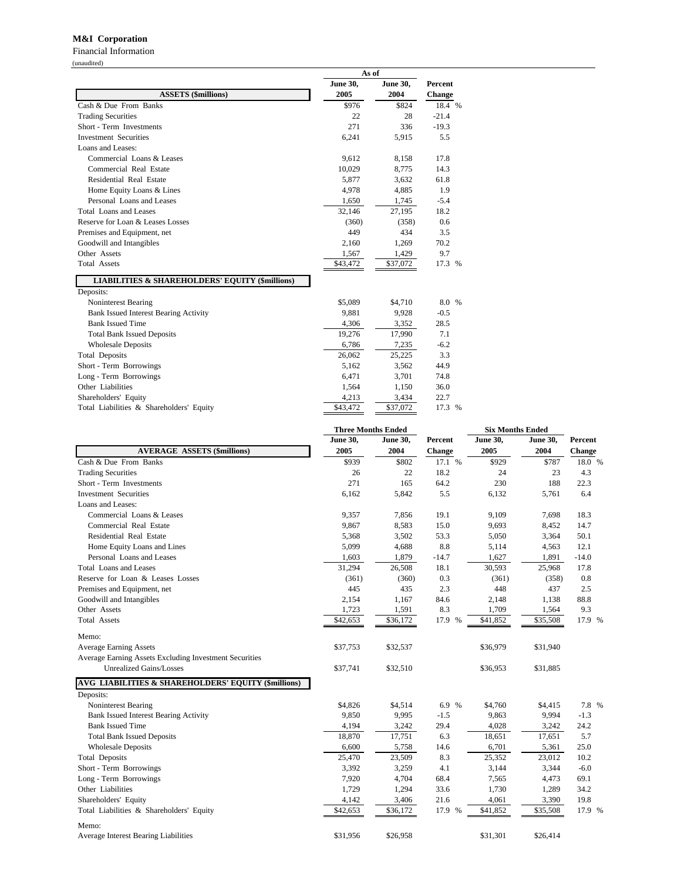#### **M&I Corporation**

Financial Information (unaudited)

|                                                            | As of           |                 |                   |  |  |
|------------------------------------------------------------|-----------------|-----------------|-------------------|--|--|
|                                                            | <b>June 30,</b> | <b>June 30,</b> | Percent<br>Change |  |  |
| <b>ASSETS (\$millions)</b>                                 | 2005            | 2004            |                   |  |  |
| Cash & Due From Banks                                      | \$976           | \$824           | 18.4 %            |  |  |
| <b>Trading Securities</b>                                  | 22              | 28              | $-21.4$           |  |  |
| Short - Term Investments                                   | 271             | 336             | $-19.3$           |  |  |
| <b>Investment Securities</b>                               | 6,241           | 5,915           | 5.5               |  |  |
| Loans and Leases:                                          |                 |                 |                   |  |  |
| Commercial Loans & Leases                                  | 9,612           | 8,158           | 17.8              |  |  |
| Commercial Real Estate                                     | 10,029          | 8,775           | 14.3              |  |  |
| Residential Real Estate                                    | 5,877           | 3,632           | 61.8              |  |  |
| Home Equity Loans & Lines                                  | 4,978           | 4,885           | 1.9               |  |  |
| Personal Loans and Leases                                  | 1,650           | 1,745           | $-5.4$            |  |  |
| Total Loans and Leases                                     | 32,146          | 27,195          | 18.2              |  |  |
| Reserve for Loan & Leases Losses                           | (360)           | (358)           | 0.6               |  |  |
| Premises and Equipment, net                                | 449             | 434             | 3.5               |  |  |
| Goodwill and Intangibles                                   | 2,160           | 1,269           | 70.2              |  |  |
| Other Assets                                               | 1,567           | 1,429           | 9.7               |  |  |
| <b>Total Assets</b>                                        | \$43,472        | \$37,072        | 17.3 %            |  |  |
| <b>LIABILITIES &amp; SHAREHOLDERS' EQUITY (\$millions)</b> |                 |                 |                   |  |  |
| Deposits:                                                  |                 |                 |                   |  |  |
| Noninterest Bearing                                        | \$5,089         | \$4,710         | 8.0 %             |  |  |
| <b>Bank Issued Interest Bearing Activity</b>               | 9,881           | 9,928           | $-0.5$            |  |  |
| <b>Bank Issued Time</b>                                    | 4,306           | 3,352           | 28.5              |  |  |
| <b>Total Bank Issued Deposits</b>                          | 19,276          | 17,990          | 7.1               |  |  |
| <b>Wholesale Deposits</b>                                  | 6,786           | 7,235           | $-6.2$            |  |  |
| <b>Total Deposits</b>                                      | 26,062          | 25,225          | 3.3               |  |  |
| Short - Term Borrowings                                    | 5,162           | 3,562           | 44.9              |  |  |
| Long - Term Borrowings                                     | 6,471           | 3,701           | 74.8              |  |  |
| Other Liabilities                                          | 1,564           | 1,150           | 36.0              |  |  |
| Shareholders' Equity                                       | 4,213           | 3,434           | 22.7              |  |  |
| Total Liabilities & Shareholders' Equity                   | \$43,472        | \$37,072        | 17.3 %            |  |  |

|                                                                | <b>Three Months Ended</b> |                 |               | <b>Six Months Ended</b> |                 |         |
|----------------------------------------------------------------|---------------------------|-----------------|---------------|-------------------------|-----------------|---------|
|                                                                | <b>June 30,</b>           | <b>June 30,</b> | Percent       | <b>June 30,</b>         | <b>June 30,</b> | Percent |
| <b>AVERAGE ASSETS (\$millions)</b>                             | 2005                      | 2004            | <b>Change</b> | 2005                    | 2004            | Change  |
| Cash & Due From Banks                                          | \$939                     | \$802           | 17.1 %        | \$929                   | \$787           | 18.0 %  |
| <b>Trading Securities</b>                                      | 26                        | 22              | 18.2          | 24                      | 23              | 4.3     |
| Short - Term Investments                                       | 271                       | 165             | 64.2          | 230                     | 188             | 22.3    |
| <b>Investment Securities</b>                                   | 6,162                     | 5,842           | 5.5           | 6,132                   | 5,761           | 6.4     |
| Loans and Leases:                                              |                           |                 |               |                         |                 |         |
| Commercial Loans & Leases                                      | 9,357                     | 7,856           | 19.1          | 9,109                   | 7,698           | 18.3    |
| Commercial Real Estate                                         | 9,867                     | 8,583           | 15.0          | 9,693                   | 8,452           | 14.7    |
| Residential Real Estate                                        | 5,368                     | 3,502           | 53.3          | 5,050                   | 3,364           | 50.1    |
| Home Equity Loans and Lines                                    | 5,099                     | 4,688           | 8.8           | 5,114                   | 4,563           | 12.1    |
| Personal Loans and Leases                                      | 1,603                     | 1,879           | $-14.7$       | 1,627                   | 1,891           | $-14.0$ |
| <b>Total Loans and Leases</b>                                  | 31,294                    | 26,508          | 18.1          | 30,593                  | 25,968          | 17.8    |
| Reserve for Loan & Leases Losses                               | (361)                     | (360)           | 0.3           | (361)                   | (358)           | 0.8     |
| Premises and Equipment, net                                    | 445                       | 435             | 2.3           | 448                     | 437             | 2.5     |
| Goodwill and Intangibles                                       | 2,154                     | 1,167           | 84.6          | 2,148                   | 1,138           | 88.8    |
| Other Assets                                                   | 1,723                     | 1,591           | 8.3           | 1,709                   | 1,564           | 9.3     |
| <b>Total Assets</b>                                            | \$42,653                  | \$36,172        | 17.9 %        | \$41,852                | \$35,508        | 17.9 %  |
| Memo:                                                          |                           |                 |               |                         |                 |         |
| <b>Average Earning Assets</b>                                  | \$37,753                  | \$32,537        |               | \$36,979                | \$31,940        |         |
| Average Earning Assets Excluding Investment Securities         |                           |                 |               |                         |                 |         |
| <b>Unrealized Gains/Losses</b>                                 | \$37,741                  | \$32,510        |               | \$36,953                | \$31,885        |         |
| <b>AVG LIABILITIES &amp; SHAREHOLDERS' EQUITY (\$millions)</b> |                           |                 |               |                         |                 |         |
| Deposits:                                                      |                           |                 |               |                         |                 |         |
| Noninterest Bearing                                            | \$4,826                   | \$4,514         | 6.9 %         | \$4,760                 | \$4,415         | 7.8 %   |
| <b>Bank Issued Interest Bearing Activity</b>                   | 9,850                     | 9,995           | $-1.5$        | 9,863                   | 9,994           | $-1.3$  |
| <b>Bank Issued Time</b>                                        | 4,194                     | 3,242           | 29.4          | 4,028                   | 3,242           | 24.2    |
| <b>Total Bank Issued Deposits</b>                              | 18,870                    | 17,751          | 6.3           | 18,651                  | 17,651          | 5.7     |
| <b>Wholesale Deposits</b>                                      | 6,600                     | 5,758           | 14.6          | 6,701                   | 5,361           | 25.0    |
| <b>Total Deposits</b>                                          | 25,470                    | 23,509          | 8.3           | 25,352                  | 23,012          | 10.2    |
| Short - Term Borrowings                                        | 3,392                     | 3,259           | 4.1           | 3,144                   | 3,344           | $-6.0$  |
| Long - Term Borrowings                                         | 7,920                     | 4,704           | 68.4          | 7,565                   | 4,473           | 69.1    |
| Other Liabilities                                              | 1,729                     | 1,294           | 33.6          | 1,730                   | 1,289           | 34.2    |
| Shareholders' Equity                                           | 4,142                     | 3,406           | 21.6          | 4,061                   | 3,390           | 19.8    |
| Total Liabilities & Shareholders' Equity                       | \$42,653                  | \$36,172        | 17.9 %        | \$41,852                | \$35,508        | 17.9 %  |
| Memo:                                                          |                           |                 |               |                         |                 |         |
| Average Interest Bearing Liabilities                           | \$31,956                  | \$26,958        |               | \$31,301                | \$26,414        |         |